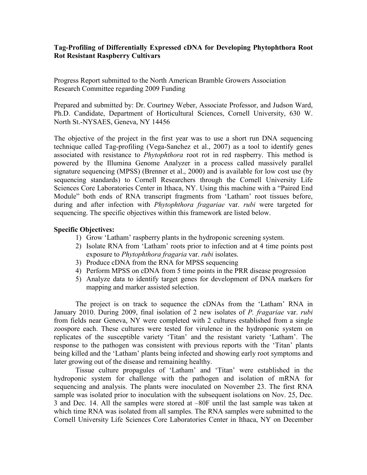## **Tag-Profiling of Differentially Expressed cDNA for Developing Phytophthora Root Rot Resistant Raspberry Cultivars**

Progress Report submitted to the North American Bramble Growers Association Research Committee regarding 2009 Funding

Prepared and submitted by: Dr. Courtney Weber, Associate Professor, and Judson Ward, Ph.D. Candidate, Department of Horticultural Sciences, Cornell University, 630 W. North St.-NYSAES, Geneva, NY 14456

The objective of the project in the first year was to use a short run DNA sequencing technique called Tag-profiling (Vega-Sanchez et al., 2007) as a tool to identify genes associated with resistance to *Phytophthora* root rot in red raspberry. This method is powered by the Illumina Genome Analyzer in a process called massively parallel signature sequencing (MPSS) (Brenner et al., 2000) and is available for low cost use (by sequencing standards) to Cornell Researchers through the Cornell University Life Sciences Core Laboratories Center in Ithaca, NY. Using this machine with a "Paired End Module" both ends of RNA transcript fragments from 'Latham' root tissues before, during and after infection with *Phytophthora fragariae* var. *rubi* were targeted for sequencing. The specific objectives within this framework are listed below.

## **Specific Objectives:**

- 1) Grow 'Latham' raspberry plants in the hydroponic screening system.
- 2) Isolate RNA from 'Latham' roots prior to infection and at 4 time points post exposure to *Phytophthora fragaria* var. *rubi* isolates.
- 3) Produce cDNA from the RNA for MPSS sequencing
- 4) Perform MPSS on cDNA from 5 time points in the PRR disease progression
- 5) Analyze data to identify target genes for development of DNA markers for mapping and marker assisted selection.

The project is on track to sequence the cDNAs from the 'Latham' RNA in January 2010. During 2009, final isolation of 2 new isolates of *P. fragariae* var. *rubi* from fields near Geneva, NY were completed with 2 cultures established from a single zoospore each. These cultures were tested for virulence in the hydroponic system on replicates of the susceptible variety 'Titan' and the resistant variety 'Latham'. The response to the pathogen was consistent with previous reports with the 'Titan' plants being killed and the 'Latham' plants being infected and showing early root symptoms and later growing out of the disease and remaining healthy.

Tissue culture propagules of 'Latham' and 'Titan' were established in the hydroponic system for challenge with the pathogen and isolation of mRNA for sequencing and analysis. The plants were inoculated on November 23. The first RNA sample was isolated prior to inoculation with the subsequent isolations on Nov. 25, Dec. 3 and Dec. 14. All the samples were stored at –80F until the last sample was taken at which time RNA was isolated from all samples. The RNA samples were submitted to the Cornell University Life Sciences Core Laboratories Center in Ithaca, NY on December